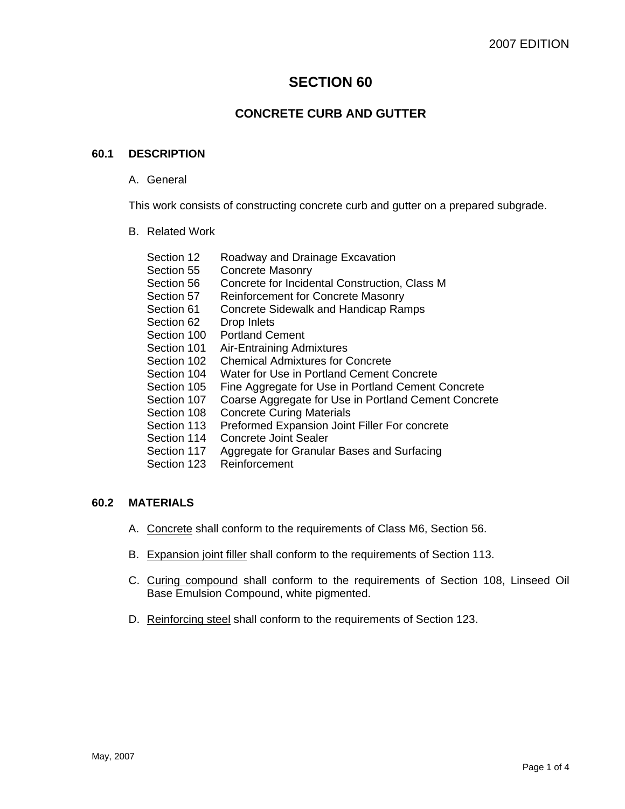# **SECTION 60**

# **CONCRETE CURB AND GUTTER**

### **60.1 DESCRIPTION**

A. General

This work consists of constructing concrete curb and gutter on a prepared subgrade.

B. Related Work

| Section 12  | Roadway and Drainage Excavation                      |
|-------------|------------------------------------------------------|
| Section 55  | <b>Concrete Masonry</b>                              |
| Section 56  | Concrete for Incidental Construction, Class M        |
| Section 57  | <b>Reinforcement for Concrete Masonry</b>            |
| Section 61  | <b>Concrete Sidewalk and Handicap Ramps</b>          |
| Section 62  | Drop Inlets                                          |
| Section 100 | <b>Portland Cement</b>                               |
| Section 101 | Air-Entraining Admixtures                            |
| Section 102 | <b>Chemical Admixtures for Concrete</b>              |
| Section 104 | Water for Use in Portland Cement Concrete            |
| Section 105 | Fine Aggregate for Use in Portland Cement Concrete   |
| Section 107 | Coarse Aggregate for Use in Portland Cement Concrete |
| Section 108 | <b>Concrete Curing Materials</b>                     |
| Section 113 | Preformed Expansion Joint Filler For concrete        |
| Section 114 | <b>Concrete Joint Sealer</b>                         |
| Section 117 | Aggregate for Granular Bases and Surfacing           |
| Section 123 | Reinforcement                                        |
|             |                                                      |

## **60.2 MATERIALS**

- A. Concrete shall conform to the requirements of Class M6, Section 56.
- B. Expansion joint filler shall conform to the requirements of Section 113.
- C. Curing compound shall conform to the requirements of Section 108, Linseed Oil Base Emulsion Compound, white pigmented.
- D. Reinforcing steel shall conform to the requirements of Section 123.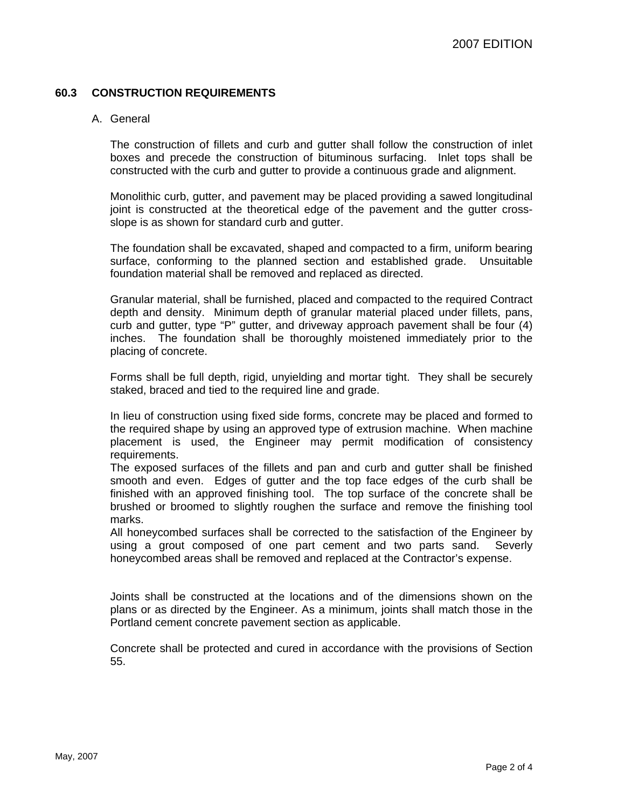### **60.3 CONSTRUCTION REQUIREMENTS**

#### A. General

The construction of fillets and curb and gutter shall follow the construction of inlet boxes and precede the construction of bituminous surfacing. Inlet tops shall be constructed with the curb and gutter to provide a continuous grade and alignment.

Monolithic curb, gutter, and pavement may be placed providing a sawed longitudinal joint is constructed at the theoretical edge of the pavement and the gutter crossslope is as shown for standard curb and gutter.

The foundation shall be excavated, shaped and compacted to a firm, uniform bearing surface, conforming to the planned section and established grade. Unsuitable foundation material shall be removed and replaced as directed.

Granular material, shall be furnished, placed and compacted to the required Contract depth and density. Minimum depth of granular material placed under fillets, pans, curb and gutter, type "P" gutter, and driveway approach pavement shall be four (4) inches. The foundation shall be thoroughly moistened immediately prior to the placing of concrete.

Forms shall be full depth, rigid, unyielding and mortar tight. They shall be securely staked, braced and tied to the required line and grade.

In lieu of construction using fixed side forms, concrete may be placed and formed to the required shape by using an approved type of extrusion machine. When machine placement is used, the Engineer may permit modification of consistency requirements.

The exposed surfaces of the fillets and pan and curb and gutter shall be finished smooth and even. Edges of gutter and the top face edges of the curb shall be finished with an approved finishing tool. The top surface of the concrete shall be brushed or broomed to slightly roughen the surface and remove the finishing tool marks.

All honeycombed surfaces shall be corrected to the satisfaction of the Engineer by using a grout composed of one part cement and two parts sand. Severly honeycombed areas shall be removed and replaced at the Contractor's expense.

Joints shall be constructed at the locations and of the dimensions shown on the plans or as directed by the Engineer. As a minimum, joints shall match those in the Portland cement concrete pavement section as applicable.

Concrete shall be protected and cured in accordance with the provisions of Section 55.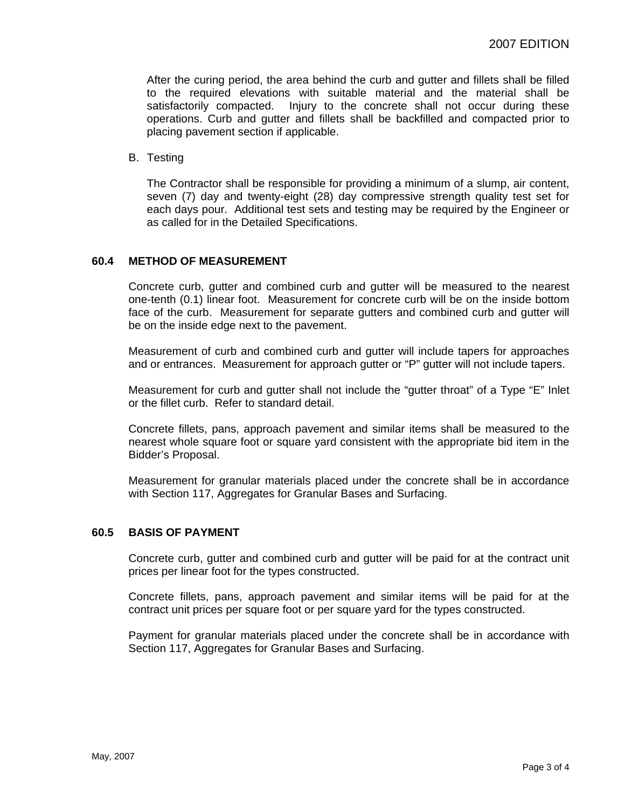After the curing period, the area behind the curb and gutter and fillets shall be filled to the required elevations with suitable material and the material shall be satisfactorily compacted. Injury to the concrete shall not occur during these operations. Curb and gutter and fillets shall be backfilled and compacted prior to placing pavement section if applicable.

B. Testing

The Contractor shall be responsible for providing a minimum of a slump, air content, seven (7) day and twenty-eight (28) day compressive strength quality test set for each days pour. Additional test sets and testing may be required by the Engineer or as called for in the Detailed Specifications.

#### **60.4 METHOD OF MEASUREMENT**

Concrete curb, gutter and combined curb and gutter will be measured to the nearest one-tenth (0.1) linear foot. Measurement for concrete curb will be on the inside bottom face of the curb. Measurement for separate gutters and combined curb and gutter will be on the inside edge next to the pavement.

Measurement of curb and combined curb and gutter will include tapers for approaches and or entrances. Measurement for approach gutter or "P" gutter will not include tapers.

Measurement for curb and gutter shall not include the "gutter throat" of a Type "E" Inlet or the fillet curb. Refer to standard detail.

Concrete fillets, pans, approach pavement and similar items shall be measured to the nearest whole square foot or square yard consistent with the appropriate bid item in the Bidder's Proposal.

Measurement for granular materials placed under the concrete shall be in accordance with Section 117, Aggregates for Granular Bases and Surfacing.

#### **60.5 BASIS OF PAYMENT**

Concrete curb, gutter and combined curb and gutter will be paid for at the contract unit prices per linear foot for the types constructed.

Concrete fillets, pans, approach pavement and similar items will be paid for at the contract unit prices per square foot or per square yard for the types constructed.

Payment for granular materials placed under the concrete shall be in accordance with Section 117, Aggregates for Granular Bases and Surfacing.